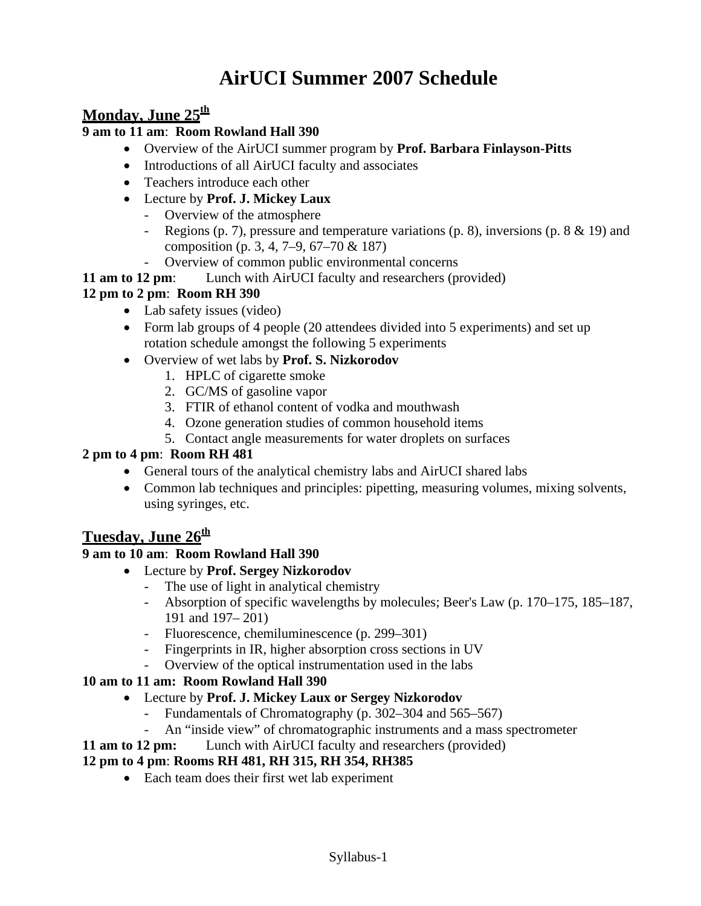# **AirUCI Summer 2007 Schedule**

# Monday, June 25<sup>th</sup>

#### **9 am to 11 am**: **Room Rowland Hall 390**

- Overview of the AirUCI summer program by **Prof. Barbara Finlayson-Pitts**
- Introductions of all AirUCI faculty and associates
- Teachers introduce each other
- Lecture by **Prof. J. Mickey Laux**
	- Overview of the atmosphere
	- Regions (p. 7), pressure and temperature variations (p. 8), inversions (p. 8 & 19) and composition (p. 3, 4, 7–9, 67–70 & 187)
	- Overview of common public environmental concerns
- **11 am to 12 pm**: Lunch with AirUCI faculty and researchers (provided)

#### **12 pm to 2 pm**: **Room RH 390**

- Lab safety issues (video)
- Form lab groups of 4 people (20 attendees divided into 5 experiments) and set up rotation schedule amongst the following 5 experiments
- Overview of wet labs by **Prof. S. Nizkorodov**
	- 1. HPLC of cigarette smoke
	- 2. GC/MS of gasoline vapor
	- 3. FTIR of ethanol content of vodka and mouthwash
	- 4. Ozone generation studies of common household items
	- 5. Contact angle measurements for water droplets on surfaces

#### **2 pm to 4 pm**: **Room RH 481**

- General tours of the analytical chemistry labs and AirUCI shared labs
- Common lab techniques and principles: pipetting, measuring volumes, mixing solvents, using syringes, etc.

# **Tuesday, June 26th**

#### **9 am to 10 am**: **Room Rowland Hall 390**

- Lecture by **Prof. Sergey Nizkorodov**
	- The use of light in analytical chemistry
	- Absorption of specific wavelengths by molecules; Beer's Law (p. 170–175, 185–187, 191 and 197– 201)
	- Fluorescence, chemiluminescence (p. 299–301)
	- Fingerprints in IR, higher absorption cross sections in UV
	- Overview of the optical instrumentation used in the labs

#### **10 am to 11 am: Room Rowland Hall 390**

- Lecture by **Prof. J. Mickey Laux or Sergey Nizkorodov**
	- Fundamentals of Chromatography (p. 302–304 and 565–567)
	- An "inside view" of chromatographic instruments and a mass spectrometer
- **11 am to 12 pm:** Lunch with AirUCI faculty and researchers (provided)

#### **12 pm to 4 pm**: **Rooms RH 481, RH 315, RH 354, RH385**

• Each team does their first wet lab experiment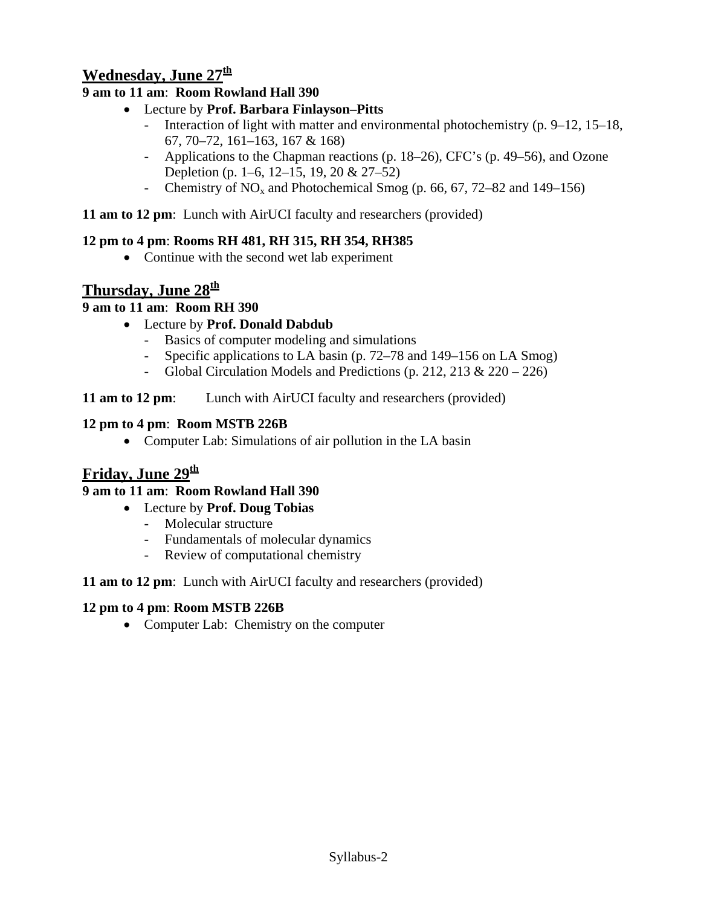# **Wednesday, June 27th**

## **9 am to 11 am**: **Room Rowland Hall 390**

- Lecture by **Prof. Barbara Finlayson–Pitts**
	- Interaction of light with matter and environmental photochemistry (p. 9–12, 15–18, 67, 70–72, 161–163, 167 & 168)
	- Applications to the Chapman reactions (p. 18–26), CFC's (p. 49–56), and Ozone Depletion (p. 1–6, 12–15, 19, 20 & 27–52)
	- Chemistry of  $NO_x$  and Photochemical Smog (p. 66, 67, 72–82 and 149–156)

**11 am to 12 pm**: Lunch with AirUCI faculty and researchers (provided)

### **12 pm to 4 pm**: **Rooms RH 481, RH 315, RH 354, RH385**

• Continue with the second wet lab experiment

# **Thursday, June 28th**

## **9 am to 11 am**: **Room RH 390**

- Lecture by **Prof. Donald Dabdub**
	- Basics of computer modeling and simulations
	- Specific applications to LA basin (p. 72–78 and 149–156 on LA Smog)
	- Global Circulation Models and Predictions (p. 212, 213 & 220 226)

**11 am to 12 pm**: Lunch with AirUCI faculty and researchers (provided)

### **12 pm to 4 pm**: **Room MSTB 226B**

• Computer Lab: Simulations of air pollution in the LA basin

# **Friday, June 29th**

## **9 am to 11 am**: **Room Rowland Hall 390**

- Lecture by **Prof. Doug Tobias**
	- Molecular structure
	- Fundamentals of molecular dynamics
	- Review of computational chemistry

#### **11 am to 12 pm**: Lunch with AirUCI faculty and researchers (provided)

#### **12 pm to 4 pm**: **Room MSTB 226B**

• Computer Lab: Chemistry on the computer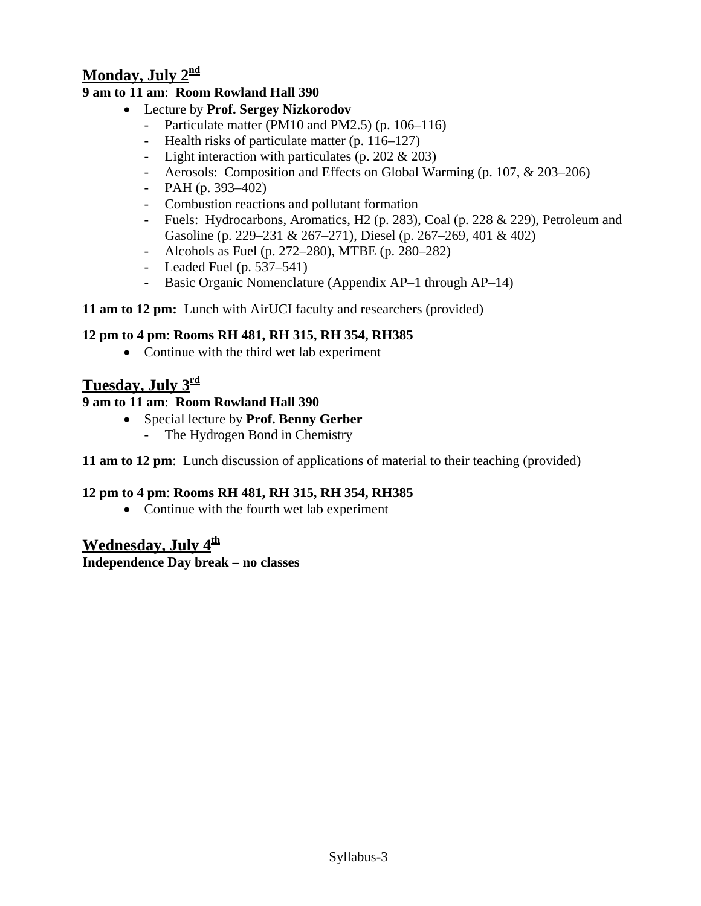# **Monday, July 2nd**

### **9 am to 11 am**: **Room Rowland Hall 390**

- Lecture by **Prof. Sergey Nizkorodov**
	- Particulate matter (PM10 and PM2.5) (p. 106–116)
	- Health risks of particulate matter (p. 116–127)
	- Light interaction with particulates (p. 202 & 203)
	- Aerosols: Composition and Effects on Global Warming (p. 107, & 203–206)
	- PAH (p. 393–402)
	- Combustion reactions and pollutant formation
	- Fuels: Hydrocarbons, Aromatics, H2 (p. 283), Coal (p. 228 & 229), Petroleum and Gasoline (p. 229–231 & 267–271), Diesel (p. 267–269, 401 & 402)
	- Alcohols as Fuel (p. 272–280), MTBE (p. 280–282)
	- Leaded Fuel (p. 537–541)
	- Basic Organic Nomenclature (Appendix AP–1 through AP–14)

#### **11 am to 12 pm:** Lunch with AirUCI faculty and researchers (provided)

### **12 pm to 4 pm**: **Rooms RH 481, RH 315, RH 354, RH385**

• Continue with the third wet lab experiment

# **Tuesday, July 3rd**

### **9 am to 11 am**: **Room Rowland Hall 390**

- Special lecture by **Prof. Benny Gerber**
	- The Hydrogen Bond in Chemistry

**11 am to 12 pm**: Lunch discussion of applications of material to their teaching (provided)

## **12 pm to 4 pm**: **Rooms RH 481, RH 315, RH 354, RH385**

• Continue with the fourth wet lab experiment

## **Wednesday, July 4th**

**Independence Day break – no classes**